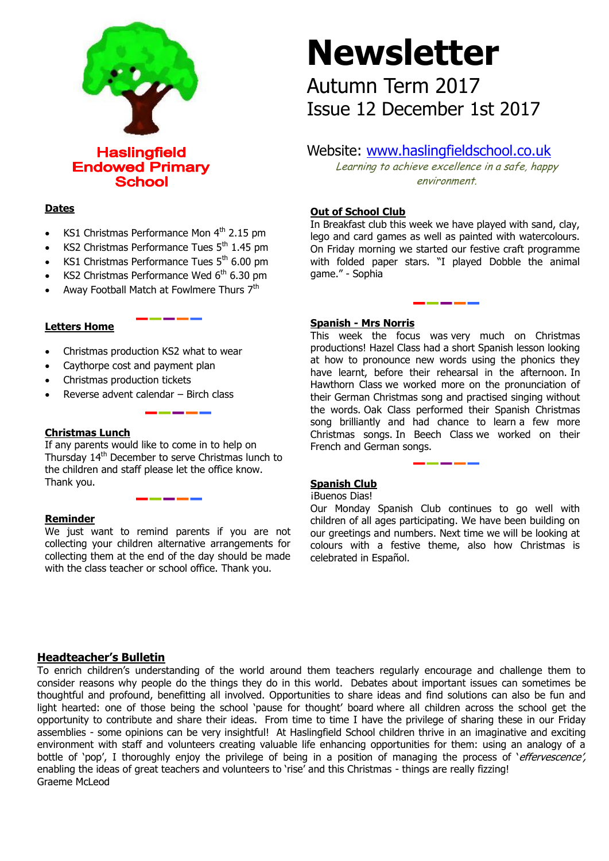

**School** 

# **Dates**

- KS1 Christmas Performance Mon  $4<sup>th</sup>$  2.15 pm
- KS2 Christmas Performance Tues  $5<sup>th</sup>$  1.45 pm
- KS1 Christmas Performance Tues  $5<sup>th</sup>$  6.00 pm
- KS2 Christmas Performance Wed  $6<sup>th</sup>$  6.30 pm
- Away Football Match at Fowlmere Thurs 7<sup>th</sup>

# **Letters Home**

- Christmas production KS2 what to wear
- Caythorpe cost and payment plan
- Christmas production tickets
- Reverse advent calendar Birch class

# **Christmas Lunch**

If any parents would like to come in to help on Thursday 14<sup>th</sup> December to serve Christmas lunch to the children and staff please let the office know. Thank you.

# **Reminder**

We just want to remind parents if you are not collecting your children alternative arrangements for collecting them at the end of the day should be made with the class teacher or school office. Thank you.

# **Newsletter**

Autumn Term 2017 Issue 12 December 1st 2017

# Website: [www.haslingfieldschool.co.uk](http://www.haslingfieldschool.co.uk/)

Learning to achieve excellence in a safe, happy environment.

# **Out of School Club**

In Breakfast club this week we have played with sand, clay, lego and card games as well as painted with watercolours. On Friday morning we started our festive craft programme with folded paper stars. "I played Dobble the animal game." - Sophia

# **Spanish - Mrs Norris**

This week the focus was very much on Christmas productions! Hazel Class had a short Spanish lesson looking at how to pronounce new words using the phonics they have learnt, before their rehearsal in the afternoon. In Hawthorn Class we worked more on the pronunciation of their German Christmas song and practised singing without the words. Oak Class performed their Spanish Christmas song brilliantly and had chance to learn a few more Christmas songs. In Beech Class we worked on their French and German songs.

# **Spanish Club**

#### ¡Buenos Dias!

 Our Monday Spanish Club continues to go well with children of all ages participating. We have been building on our greetings and numbers. Next time we will be looking at colours with a festive theme, also how Christmas is celebrated in Español.

# **Headteacher's Bulletin**

To enrich children's understanding of the world around them teachers regularly encourage and challenge them to consider reasons why people do the things they do in this world. Debates about important issues can sometimes be thoughtful and profound, benefitting all involved. Opportunities to share ideas and find solutions can also be fun and light hearted: one of those being the school 'pause for thought' board where all children across the school get the opportunity to contribute and share their ideas. From time to time I have the privilege of sharing these in our Friday assemblies - some opinions can be very insightful! At Haslingfield School children thrive in an imaginative and exciting environment with staff and volunteers creating valuable life enhancing opportunities for them: using an analogy of a bottle of 'pop', I thoroughly enjoy the privilege of being in a position of managing the process of 'effervescence', enabling the ideas of great teachers and volunteers to 'rise' and this Christmas - things are really fizzing! Graeme McLeod